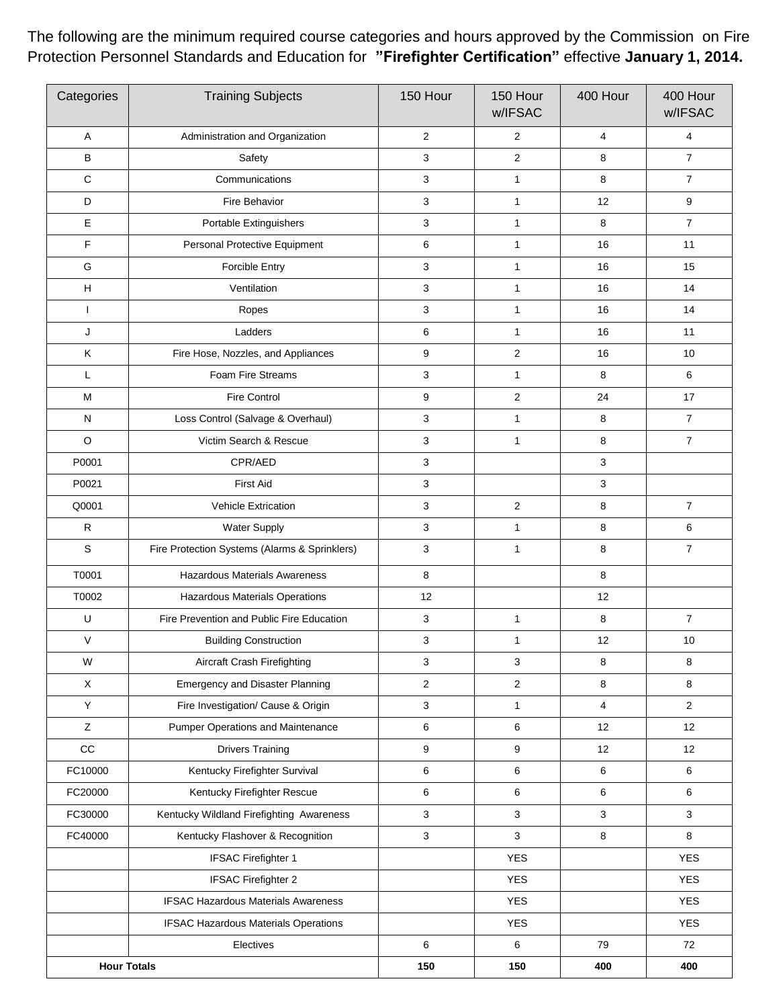The following are the minimum required course categories and hours approved by the Commission on Fire Protection Personnel Standards and Education for **"Firefighter Certification"** effective **January 1, 2014.**

| Categories         | <b>Training Subjects</b>                      | 150 Hour       | 150 Hour<br>w/IFSAC | 400 Hour       | 400 Hour<br>w/IFSAC |
|--------------------|-----------------------------------------------|----------------|---------------------|----------------|---------------------|
| Α                  | Administration and Organization               | 2              | 2                   | $\overline{4}$ | $\overline{4}$      |
| B                  | Safety                                        | 3              | $\overline{2}$      | 8              | $\overline{7}$      |
| $\mathbf C$        | Communications                                | 3              | $\mathbf{1}$        | 8              | $\overline{7}$      |
| D                  | Fire Behavior                                 | 3              | 1                   | 12             | 9                   |
| Ε                  | Portable Extinguishers                        | 3              | 1                   | 8              | $\overline{7}$      |
| F                  | Personal Protective Equipment                 | 6              | $\mathbf{1}$        | 16             | 11                  |
| G                  | Forcible Entry                                | 3              | 1                   | 16             | 15                  |
| H                  | Ventilation                                   | 3              | 1                   | 16             | 14                  |
| $\mathbf{I}$       | Ropes                                         | 3              | $\mathbf{1}$        | 16             | 14                  |
| J                  | Ladders                                       | 6              | 1                   | 16             | 11                  |
| K                  | Fire Hose, Nozzles, and Appliances            | 9              | $\overline{2}$      | 16             | 10                  |
| L                  | Foam Fire Streams                             | 3              | 1                   | 8              | 6                   |
| M                  | <b>Fire Control</b>                           | 9              | $\overline{2}$      | 24             | 17                  |
| N                  | Loss Control (Salvage & Overhaul)             | 3              | $\mathbf{1}$        | 8              | $\overline{7}$      |
| $\circ$            | Victim Search & Rescue                        | 3              | $\mathbf{1}$        | 8              | $\overline{7}$      |
| P0001              | CPR/AED                                       | 3              |                     | 3              |                     |
| P0021              | First Aid                                     | 3              |                     | 3              |                     |
| Q0001              | Vehicle Extrication                           | 3              | $\sqrt{2}$          | 8              | $\overline{7}$      |
| $\mathsf{R}$       | <b>Water Supply</b>                           | 3              | $\mathbf{1}$        | 8              | 6                   |
| S                  | Fire Protection Systems (Alarms & Sprinklers) | 3              | $\mathbf{1}$        | 8              | $\overline{7}$      |
| T0001              | <b>Hazardous Materials Awareness</b>          | 8              |                     | 8              |                     |
| T0002              | Hazardous Materials Operations                | 12             |                     | 12             |                     |
| U                  | Fire Prevention and Public Fire Education     | 3              | 1                   | 8              | $\overline{7}$      |
| $\vee$             | <b>Building Construction</b>                  | 3              | 1                   | 12             | 10                  |
| W                  | Aircraft Crash Firefighting                   | 3              | 3                   | 8              | 8                   |
| X                  | <b>Emergency and Disaster Planning</b>        | $\overline{2}$ | $\overline{2}$      | 8              | 8                   |
| Y                  | Fire Investigation/ Cause & Origin            | 3              | 1                   | 4              | $\overline{2}$      |
| Z                  | <b>Pumper Operations and Maintenance</b>      | 6              | 6                   | 12             | 12                  |
| CC                 | <b>Drivers Training</b>                       | 9              | 9                   | 12             | 12                  |
| FC10000            | Kentucky Firefighter Survival                 | 6              | 6                   | 6              | 6                   |
| FC20000            | Kentucky Firefighter Rescue                   | 6              | 6                   | 6              | 6                   |
| FC30000            | Kentucky Wildland Firefighting Awareness      | 3              | 3                   | 3              | 3                   |
| FC40000            | Kentucky Flashover & Recognition              | 3              | 3                   | 8              | 8                   |
|                    | <b>IFSAC Firefighter 1</b>                    |                | <b>YES</b>          |                | <b>YES</b>          |
|                    | <b>IFSAC Firefighter 2</b>                    |                | <b>YES</b>          |                | <b>YES</b>          |
|                    | <b>IFSAC Hazardous Materials Awareness</b>    |                | <b>YES</b>          |                | <b>YES</b>          |
|                    | <b>IFSAC Hazardous Materials Operations</b>   |                | <b>YES</b>          |                | <b>YES</b>          |
|                    | Electives                                     | 6              | 6                   | 79             | 72                  |
| <b>Hour Totals</b> |                                               | 150            | 150                 | 400            | 400                 |